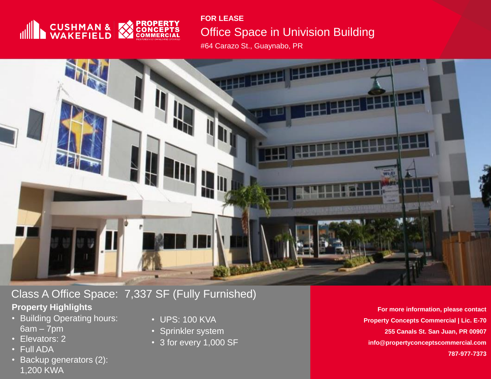

#### **FOR LEASE**

# Office Space in Univision Building

#64 Carazo St., Guaynabo, PR



# Class A Office Space: 7,337 SF (Fully Furnished)

### **Property Highlights**

- **Property Highlights** 6am 7pm • Building Operating hours:
- Elevators: 2
- Full ADA  $\mathbf{r} = \mathbf{r}$  $\bullet$  Full ADA $\bullet$
- Backup generators  $(Z)$ : • Backup generators (2): 1,200 KWA
- UPS: 100 KVA
- Sprinkler system
- 3 for every 1,000 SF

**For more information, please contact Property Concepts Commercial | Lic. E-70 255 Canals St. San Juan, PR 00907 info@propertyconceptscommercial.com 787-977-7373**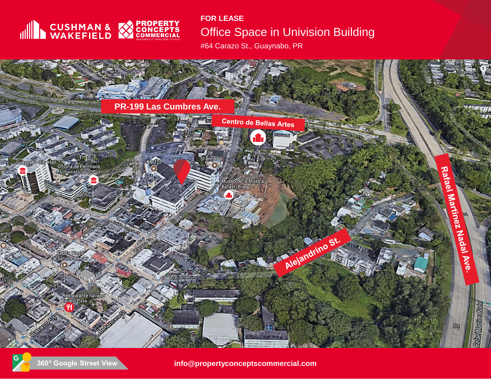

#### **FOR LEASE**

# Office Space in Univision Building

#64 Carazo St., Guaynabo, PR